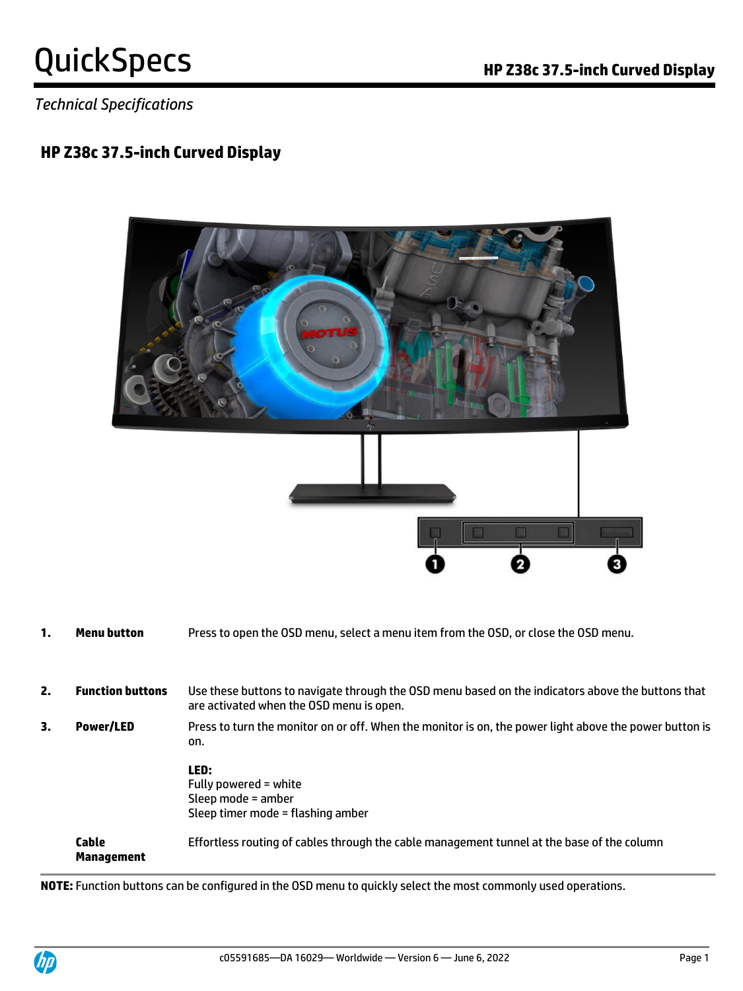*Technical Specifications*

### **HP Z38c 37.5-inch Curved Display**



- **1. Menu button** Press to open the OSD menu, select a menu item from the OSD, or close the OSD menu.
- **2. Function buttons** Use these buttons to navigate through the OSD menu based on the indicators above the buttons that are activated when the OSD menu is open.
- **3. Power/LED** Press to turn the monitor on or off. When the monitor is on, the power light above the power button is on.

**LED:**  Fully powered = white Sleep mode = amber Sleep timer mode = flashing amber

**Cable Management** Effortless routing of cables through the cable management tunnel at the base of the column

**NOTE:** Function buttons can be configured in the OSD menu to quickly select the most commonly used operations.

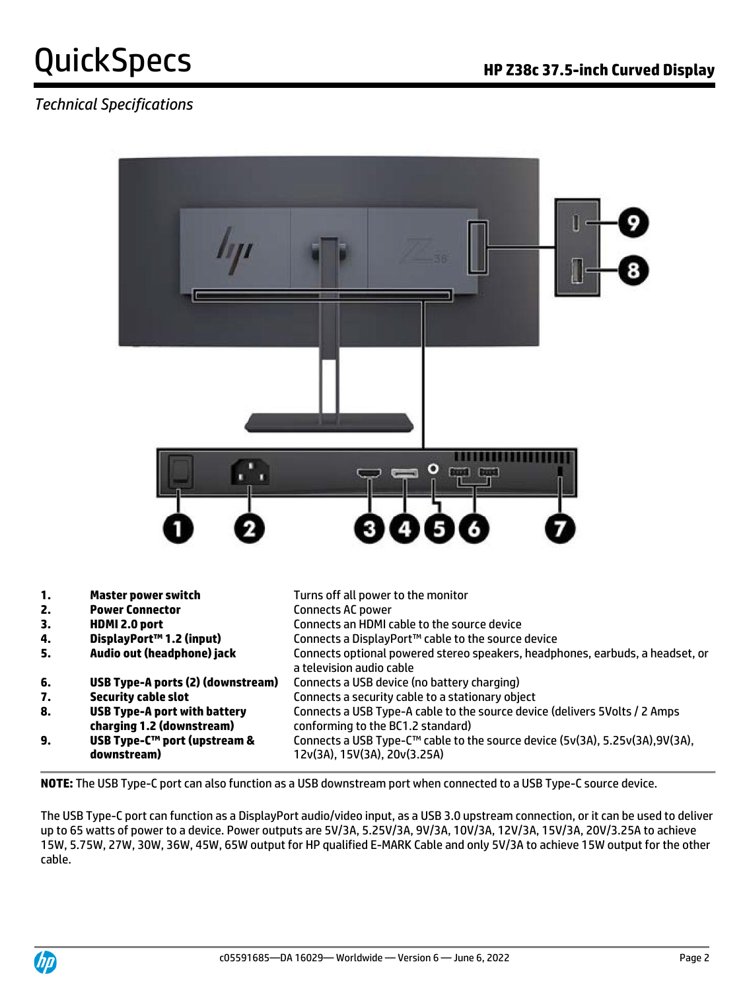### *Technical Specifications*



| 1. | <b>Master power switch</b>                                       | Turns off all power to the monitor                                                                              |
|----|------------------------------------------------------------------|-----------------------------------------------------------------------------------------------------------------|
| 2. | <b>Power Connector</b>                                           | Connects AC power                                                                                               |
| 3. | HDMI 2.0 port                                                    | Connects an HDMI cable to the source device                                                                     |
| 4. | DisplayPort™ 1.2 (input)                                         | Connects a DisplayPort™ cable to the source device                                                              |
| 5. | Audio out (headphone) jack                                       | Connects optional powered stereo speakers, headphones, earbuds, a headset, or<br>a television audio cable       |
| 6. | USB Type-A ports (2) (downstream)                                | Connects a USB device (no battery charging)                                                                     |
| 7. | <b>Security cable slot</b>                                       | Connects a security cable to a stationary object                                                                |
| 8. | <b>USB Type-A port with battery</b><br>charging 1.2 (downstream) | Connects a USB Type-A cable to the source device (delivers 5Volts / 2 Amps<br>conforming to the BC1.2 standard) |
| 9. | USB Type-C™ port (upstream &<br>downstream)                      | Connects a USB Type-C™ cable to the source device (5v(3A), 5.25v(3A),9V(3A),<br>12v(3A), 15V(3A), 20v(3.25A)    |

**NOTE:** The USB Type-C port can also function as a USB downstream port when connected to a USB Type-C source device.

The USB Type-C port can function as a DisplayPort audio/video input, as a USB 3.0 upstream connection, or it can be used to deliver up to 65 watts of power to a device. Power outputs are 5V/3A, 5.25V/3A, 9V/3A, 10V/3A, 12V/3A, 15V/3A, 20V/3.25A to achieve 15W, 5.75W, 27W, 30W, 36W, 45W, 65W output for HP qualified E-MARK Cable and only 5V/3A to achieve 15W output for the other cable.

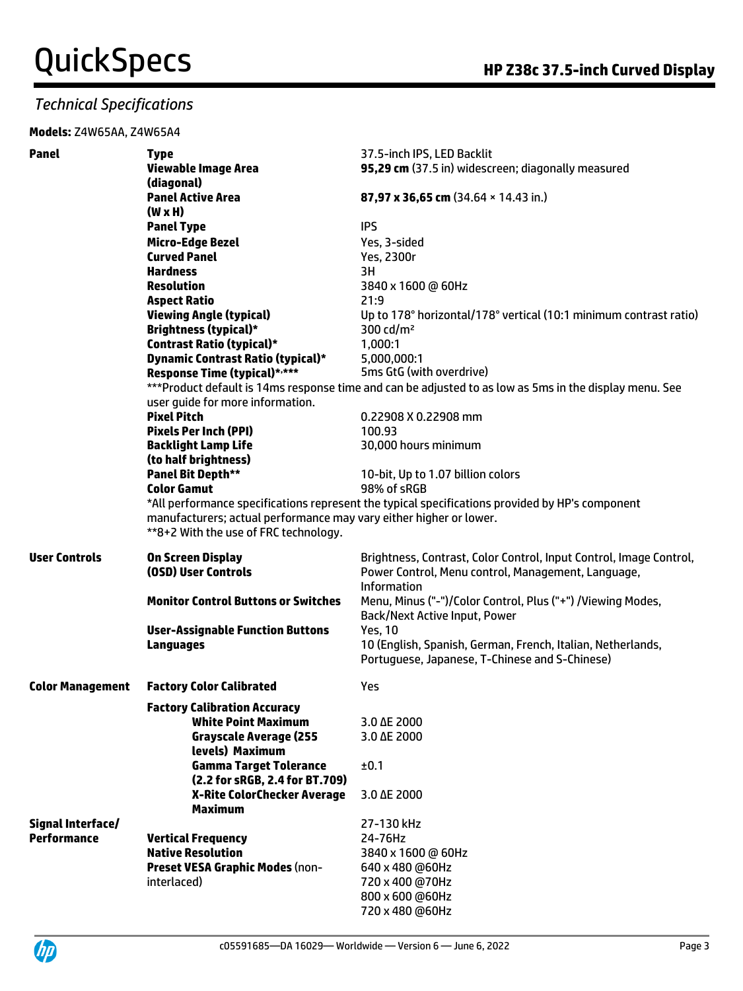#### *Technical Specifications*

#### **Models:** Z4W65AA, Z4W65A4

| <b>Panel</b>            | <b>Type</b>                                                        | 37.5-inch IPS, LED Backlit                                                                              |
|-------------------------|--------------------------------------------------------------------|---------------------------------------------------------------------------------------------------------|
|                         | <b>Viewable Image Area</b>                                         | 95,29 cm (37.5 in) widescreen; diagonally measured                                                      |
|                         | (diagonal)                                                         |                                                                                                         |
|                         | <b>Panel Active Area</b>                                           | 87,97 x 36,65 cm (34.64 × 14.43 in.)                                                                    |
|                         | $(W \times H)$                                                     |                                                                                                         |
|                         | <b>Panel Type</b>                                                  | <b>IPS</b>                                                                                              |
|                         | <b>Micro-Edge Bezel</b>                                            | Yes, 3-sided                                                                                            |
|                         | <b>Curved Panel</b>                                                | Yes, 2300r                                                                                              |
|                         | <b>Hardness</b>                                                    | 3H                                                                                                      |
|                         | <b>Resolution</b>                                                  | 3840 x 1600 @ 60Hz                                                                                      |
|                         | <b>Aspect Ratio</b>                                                | 21:9                                                                                                    |
|                         | <b>Viewing Angle (typical)</b>                                     | Up to 178° horizontal/178° vertical (10:1 minimum contrast ratio)                                       |
|                         | <b>Brightness (typical)*</b>                                       | 300 $cd/m2$                                                                                             |
|                         | <b>Contrast Ratio (typical)*</b>                                   | 1,000:1                                                                                                 |
|                         | <b>Dynamic Contrast Ratio (typical)*</b>                           | 5,000,000:1                                                                                             |
|                         | Response Time (typical)*,***                                       | 5ms GtG (with overdrive)                                                                                |
|                         |                                                                    | *** Product default is 14ms response time and can be adjusted to as low as 5ms in the display menu. See |
|                         | user guide for more information.                                   |                                                                                                         |
|                         | <b>Pixel Pitch</b>                                                 | 0.22908 X 0.22908 mm                                                                                    |
|                         | <b>Pixels Per Inch (PPI)</b>                                       | 100.93                                                                                                  |
|                         | <b>Backlight Lamp Life</b>                                         | 30,000 hours minimum                                                                                    |
|                         | (to half brightness)                                               |                                                                                                         |
|                         | <b>Panel Bit Depth**</b>                                           | 10-bit, Up to 1.07 billion colors                                                                       |
|                         | <b>Color Gamut</b>                                                 | 98% of sRGB                                                                                             |
|                         |                                                                    | *All performance specifications represent the typical specifications provided by HP's component         |
|                         | manufacturers; actual performance may vary either higher or lower. |                                                                                                         |
|                         | **8+2 With the use of FRC technology.                              |                                                                                                         |
| <b>User Controls</b>    | On Screen Display                                                  | Brightness, Contrast, Color Control, Input Control, Image Control,                                      |
|                         | (OSD) User Controls                                                | Power Control, Menu control, Management, Language,                                                      |
|                         |                                                                    | <b>Information</b>                                                                                      |
|                         | <b>Monitor Control Buttons or Switches</b>                         | Menu, Minus ("-")/Color Control, Plus ("+") /Viewing Modes,                                             |
|                         |                                                                    | Back/Next Active Input, Power                                                                           |
|                         | <b>User-Assignable Function Buttons</b>                            | <b>Yes, 10</b>                                                                                          |
|                         | <b>Languages</b>                                                   | 10 (English, Spanish, German, French, Italian, Netherlands,                                             |
|                         |                                                                    | Portuguese, Japanese, T-Chinese and S-Chinese)                                                          |
|                         |                                                                    |                                                                                                         |
| <b>Color Management</b> | <b>Factory Color Calibrated</b>                                    | Yes                                                                                                     |
|                         | <b>Factory Calibration Accuracy</b>                                |                                                                                                         |
|                         | <b>White Point Maximum</b>                                         | 3.0 AE 2000                                                                                             |
|                         | <b>Grayscale Average (255</b>                                      | 3.0 AE 2000                                                                                             |
|                         | levels) Maximum                                                    |                                                                                                         |
|                         | <b>Gamma Target Tolerance</b>                                      | ±0.1                                                                                                    |
|                         | (2.2 for sRGB, 2.4 for BT.709)                                     |                                                                                                         |
|                         | X-Rite ColorChecker Average                                        | 3.0 AE 2000                                                                                             |
|                         | <b>Maximum</b>                                                     |                                                                                                         |
| Signal Interface/       |                                                                    | 27-130 kHz                                                                                              |
| <b>Performance</b>      | <b>Vertical Frequency</b>                                          | 24-76Hz                                                                                                 |
|                         | <b>Native Resolution</b>                                           | 3840 x 1600 @ 60Hz                                                                                      |
|                         | <b>Preset VESA Graphic Modes (non-</b>                             | 640 x 480 @60Hz                                                                                         |
|                         | interlaced)                                                        | 720 x 400 @70Hz                                                                                         |
|                         |                                                                    | 800 x 600 @60Hz                                                                                         |
|                         |                                                                    | 720 x 480 @60Hz                                                                                         |

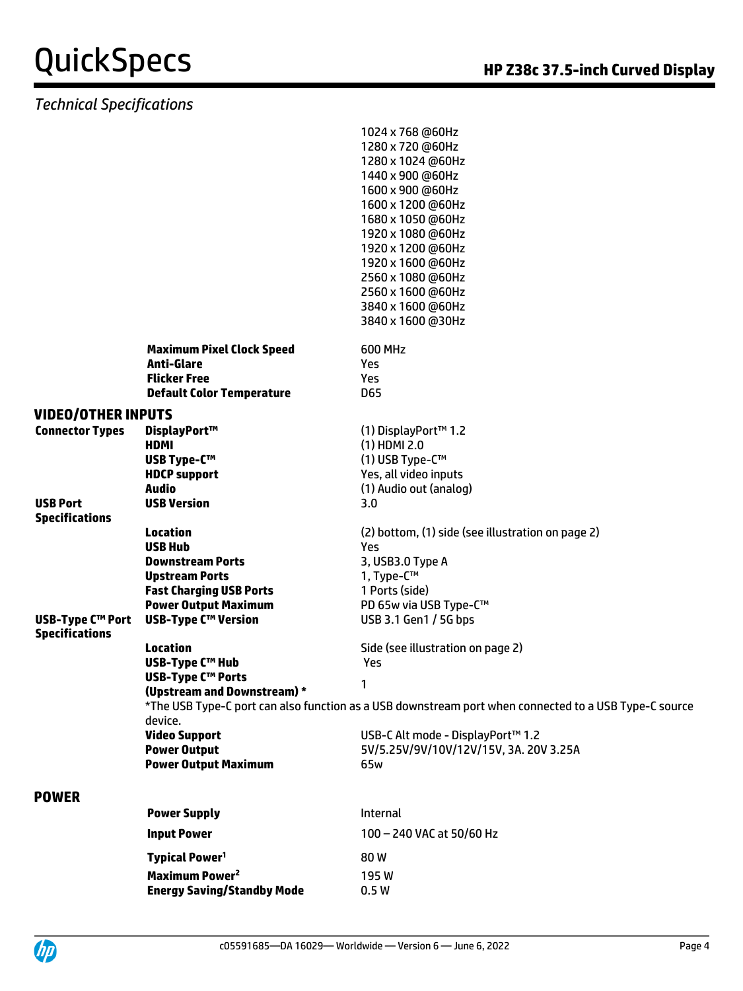### *Technical Specifications*

|                                                  |                                                                              | 1024 x 768 @60Hz<br>1280 x 720 @60Hz<br>1280 x 1024 @60Hz<br>1440 x 900 @60Hz<br>1600 x 900 @60Hz<br>1600 x 1200 @60Hz<br>1680 x 1050 @60Hz<br>1920 x 1080 @60Hz<br>1920 x 1200 @60Hz<br>1920 x 1600 @60Hz<br>2560 x 1080 @60Hz<br>2560 x 1600 @60Hz<br>3840 x 1600 @60Hz<br>3840 x 1600 @30Hz |
|--------------------------------------------------|------------------------------------------------------------------------------|------------------------------------------------------------------------------------------------------------------------------------------------------------------------------------------------------------------------------------------------------------------------------------------------|
|                                                  | <b>Maximum Pixel Clock Speed</b><br><b>Anti-Glare</b><br><b>Flicker Free</b> | <b>600 MHz</b><br>Yes                                                                                                                                                                                                                                                                          |
|                                                  | <b>Default Color Temperature</b>                                             | Yes<br>D65                                                                                                                                                                                                                                                                                     |
|                                                  |                                                                              |                                                                                                                                                                                                                                                                                                |
| <b>VIDEO/OTHER INPUTS</b>                        |                                                                              |                                                                                                                                                                                                                                                                                                |
| <b>Connector Types</b>                           | DisplayPort™<br><b>HDMI</b>                                                  | (1) DisplayPort™ 1.2<br>$(1)$ HDMI 2.0                                                                                                                                                                                                                                                         |
|                                                  | <b>USB Type-C™</b>                                                           | (1) USB Type-C™                                                                                                                                                                                                                                                                                |
|                                                  | <b>HDCP support</b>                                                          | Yes, all video inputs                                                                                                                                                                                                                                                                          |
|                                                  | Audio                                                                        | (1) Audio out (analog)                                                                                                                                                                                                                                                                         |
| <b>USB Port</b>                                  | <b>USB Version</b>                                                           | 3.0                                                                                                                                                                                                                                                                                            |
| <b>Specifications</b>                            |                                                                              |                                                                                                                                                                                                                                                                                                |
|                                                  | <b>Location</b>                                                              | (2) bottom, (1) side (see illustration on page 2)                                                                                                                                                                                                                                              |
|                                                  | <b>USB Hub</b>                                                               | Yes                                                                                                                                                                                                                                                                                            |
|                                                  | <b>Downstream Ports</b>                                                      | 3, USB3.0 Type A                                                                                                                                                                                                                                                                               |
|                                                  | <b>Upstream Ports</b>                                                        | 1, Type-C™                                                                                                                                                                                                                                                                                     |
|                                                  | <b>Fast Charging USB Ports</b>                                               | 1 Ports (side)                                                                                                                                                                                                                                                                                 |
|                                                  | <b>Power Output Maximum</b>                                                  | PD 65w via USB Type-C™                                                                                                                                                                                                                                                                         |
| <b>USB-Type C™ Port</b><br><b>Specifications</b> | <b>USB-Type C™ Version</b>                                                   | USB 3.1 Gen1 / 5G bps                                                                                                                                                                                                                                                                          |
|                                                  | <b>Location</b><br><b>USB-Type C™ Hub</b>                                    | Side (see illustration on page 2)<br>Yes                                                                                                                                                                                                                                                       |
|                                                  | <b>USB-Type C™ Ports</b>                                                     |                                                                                                                                                                                                                                                                                                |
|                                                  | (Upstream and Downstream) *                                                  | 1                                                                                                                                                                                                                                                                                              |
|                                                  | device.                                                                      | *The USB Type-C port can also function as a USB downstream port when connected to a USB Type-C source                                                                                                                                                                                          |
|                                                  | <b>Video Support</b>                                                         | USB-C Alt mode - DisplayPort™ 1.2                                                                                                                                                                                                                                                              |
|                                                  | <b>Power Output</b>                                                          | 5V/5.25V/9V/10V/12V/15V, 3A. 20V 3.25A                                                                                                                                                                                                                                                         |
|                                                  | <b>Power Output Maximum</b>                                                  | 65w                                                                                                                                                                                                                                                                                            |
|                                                  |                                                                              |                                                                                                                                                                                                                                                                                                |
| <b>POWER</b>                                     |                                                                              |                                                                                                                                                                                                                                                                                                |
|                                                  | <b>Power Supply</b>                                                          | Internal                                                                                                                                                                                                                                                                                       |
|                                                  | <b>Input Power</b>                                                           | 100 - 240 VAC at 50/60 Hz                                                                                                                                                                                                                                                                      |
|                                                  | <b>Typical Power<sup>1</sup></b>                                             | 80W                                                                                                                                                                                                                                                                                            |
|                                                  | Maximum Power <sup>2</sup>                                                   | 195W                                                                                                                                                                                                                                                                                           |
|                                                  | <b>Energy Saving/Standby Mode</b>                                            | 0.5W                                                                                                                                                                                                                                                                                           |
|                                                  |                                                                              |                                                                                                                                                                                                                                                                                                |

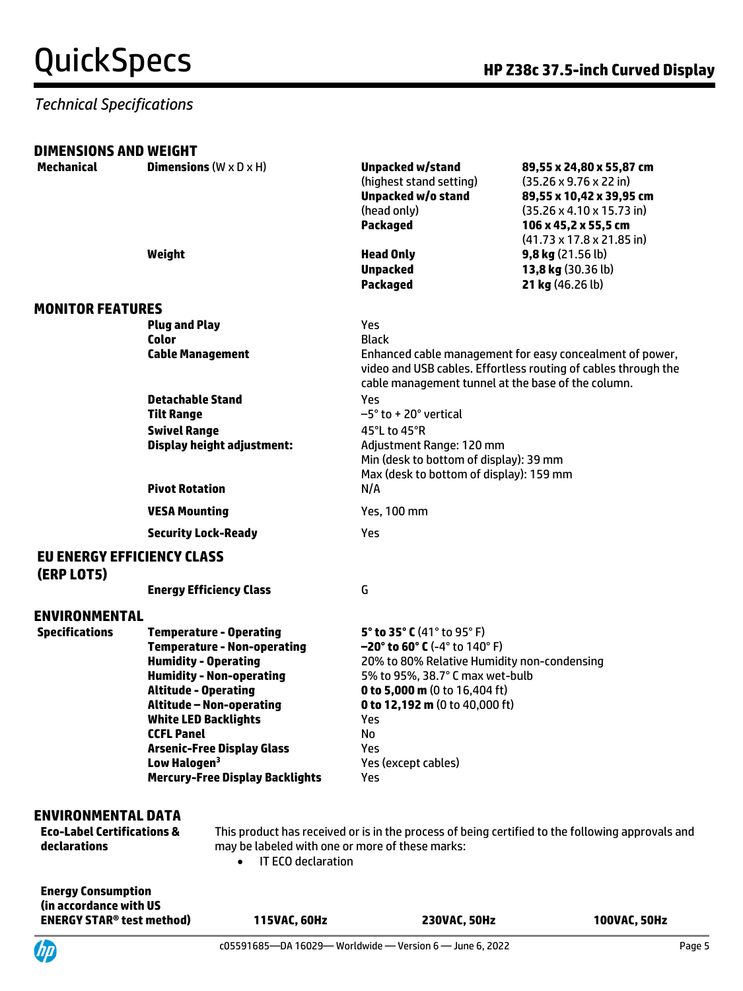#### *Technical Specifications*

| <b>DIMENSIONS AND WEIGHT</b>                                                       |                                                                                                                                                                                                                                                                                                                                                                         |                                                                                                                                                                                                                                                                                    |                                                                                                                                                                                                                       |
|------------------------------------------------------------------------------------|-------------------------------------------------------------------------------------------------------------------------------------------------------------------------------------------------------------------------------------------------------------------------------------------------------------------------------------------------------------------------|------------------------------------------------------------------------------------------------------------------------------------------------------------------------------------------------------------------------------------------------------------------------------------|-----------------------------------------------------------------------------------------------------------------------------------------------------------------------------------------------------------------------|
| Mechanical                                                                         | <b>Dimensions</b> $(W \times D \times H)$                                                                                                                                                                                                                                                                                                                               | <b>Unpacked w/stand</b><br>(highest stand setting)<br>Unpacked w/o stand<br>(head only)<br><b>Packaged</b>                                                                                                                                                                         | 89,55 x 24,80 x 55,87 cm<br>$(35.26 \times 9.76 \times 22)$ in)<br>89,55 x 10,42 x 39,95 cm<br>$(35.26 \times 4.10 \times 15.73 \text{ in})$<br>106 x 45,2 x 55,5 cm<br>$(41.73 \times 17.8 \times 21.85 \text{ in})$ |
|                                                                                    | Weight                                                                                                                                                                                                                                                                                                                                                                  | <b>Head Only</b><br><b>Unpacked</b><br><b>Packaged</b>                                                                                                                                                                                                                             | $9,8$ kg (21.56 lb)<br>13,8 kg (30.36 lb)<br>21 kg (46.26 lb)                                                                                                                                                         |
| <b>MONITOR FEATURES</b>                                                            |                                                                                                                                                                                                                                                                                                                                                                         |                                                                                                                                                                                                                                                                                    |                                                                                                                                                                                                                       |
|                                                                                    | <b>Plug and Play</b><br><b>Color</b><br><b>Cable Management</b>                                                                                                                                                                                                                                                                                                         | Yes<br><b>Black</b><br>cable management tunnel at the base of the column.                                                                                                                                                                                                          | Enhanced cable management for easy concealment of power,<br>video and USB cables. Effortless routing of cables through the                                                                                            |
|                                                                                    | <b>Detachable Stand</b><br><b>Tilt Range</b><br><b>Swivel Range</b><br><b>Display height adjustment:</b>                                                                                                                                                                                                                                                                | Yes<br>$-5^{\circ}$ to + 20 $^{\circ}$ vertical<br>45°L to 45°R<br>Adjustment Range: 120 mm<br>Min (desk to bottom of display): 39 mm<br>Max (desk to bottom of display): 159 mm                                                                                                   |                                                                                                                                                                                                                       |
|                                                                                    | <b>Pivot Rotation</b>                                                                                                                                                                                                                                                                                                                                                   | N/A                                                                                                                                                                                                                                                                                |                                                                                                                                                                                                                       |
|                                                                                    | <b>VESA Mounting</b>                                                                                                                                                                                                                                                                                                                                                    | Yes, 100 mm                                                                                                                                                                                                                                                                        |                                                                                                                                                                                                                       |
|                                                                                    | <b>Security Lock-Ready</b>                                                                                                                                                                                                                                                                                                                                              | Yes                                                                                                                                                                                                                                                                                |                                                                                                                                                                                                                       |
| <b>EU ENERGY EFFICIENCY CLASS</b><br>(ERP LOT5)                                    |                                                                                                                                                                                                                                                                                                                                                                         |                                                                                                                                                                                                                                                                                    |                                                                                                                                                                                                                       |
|                                                                                    | <b>Energy Efficiency Class</b>                                                                                                                                                                                                                                                                                                                                          | G                                                                                                                                                                                                                                                                                  |                                                                                                                                                                                                                       |
| <b>ENVIRONMENTAL</b>                                                               |                                                                                                                                                                                                                                                                                                                                                                         |                                                                                                                                                                                                                                                                                    |                                                                                                                                                                                                                       |
| <b>Specifications</b>                                                              | <b>Temperature - Operating</b><br><b>Temperature - Non-operating</b><br><b>Humidity - Operating</b><br><b>Humidity - Non-operating</b><br><b>Altitude - Operating</b><br><b>Altitude - Non-operating</b><br><b>White LED Backlights</b><br><b>CCFL Panel</b><br><b>Arsenic-Free Display Glass</b><br>Low Halogen <sup>3</sup><br><b>Mercury-Free Display Backlights</b> | 5° to 35° C (41° to 95° F)<br>$-20^{\circ}$ to 60° C (-4° to 140° F)<br>20% to 80% Relative Humidity non-condensing<br>5% to 95%, 38.7° C max wet-bulb<br>0 to 5,000 m (0 to 16,404 ft)<br>0 to 12,192 m (0 to 40,000 ft)<br>Yes<br>No<br>Yes<br>Yes (except cables)<br><b>Yes</b> |                                                                                                                                                                                                                       |
| <b>ENVIRONMENTAL DATA</b><br><b>Eco-Label Certifications &amp;</b><br>declarations | may be labeled with one or more of these marks:<br>IT ECO declaration<br>$\bullet$                                                                                                                                                                                                                                                                                      |                                                                                                                                                                                                                                                                                    | This product has received or is in the process of being certified to the following approvals and                                                                                                                      |

**Energy Consumption (in accordance with US ENERGY STAR® test method) 115VAC, 60Hz 230VAC, 50Hz 100VAC, 50Hz**

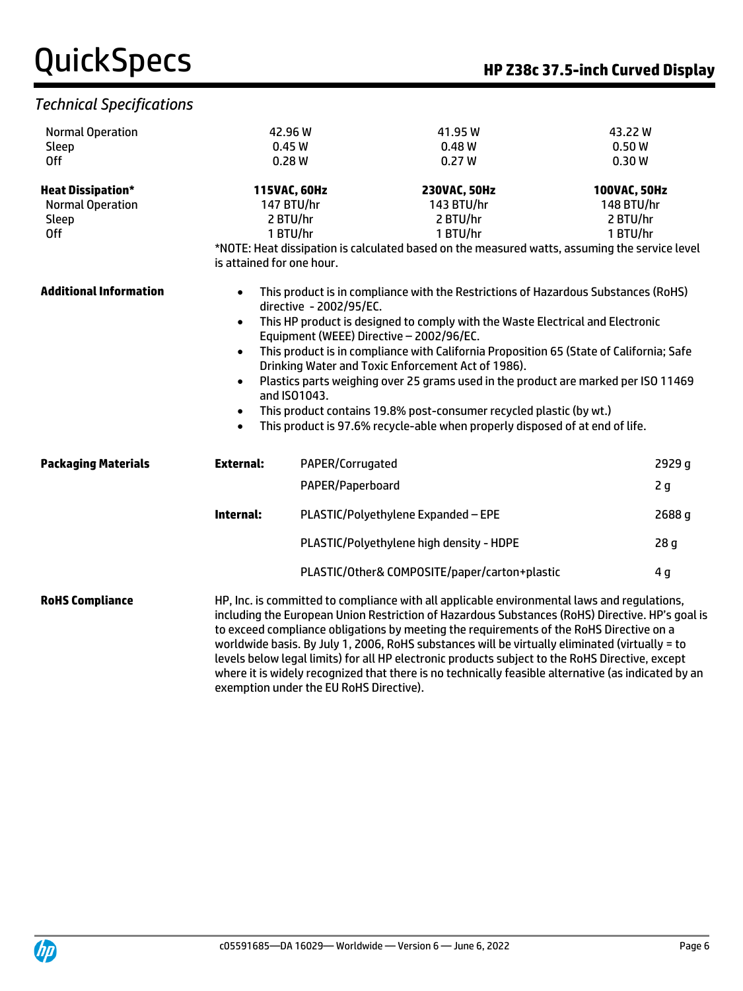### *Technical Specifications*

| <b>Normal Operation</b>       |                                                                                                                                                                                                                                                                                                                                                                                                                                                                                                                                                                                                       | 42.96 W          | 41.95 W                                                                                                                                                                                                                                   | 43.22W          |  |  |
|-------------------------------|-------------------------------------------------------------------------------------------------------------------------------------------------------------------------------------------------------------------------------------------------------------------------------------------------------------------------------------------------------------------------------------------------------------------------------------------------------------------------------------------------------------------------------------------------------------------------------------------------------|------------------|-------------------------------------------------------------------------------------------------------------------------------------------------------------------------------------------------------------------------------------------|-----------------|--|--|
| Sleep                         |                                                                                                                                                                                                                                                                                                                                                                                                                                                                                                                                                                                                       | 0.45W            | 0.48W                                                                                                                                                                                                                                     | 0.50W           |  |  |
| 0ff                           | 0.28W                                                                                                                                                                                                                                                                                                                                                                                                                                                                                                                                                                                                 |                  | 0.27W                                                                                                                                                                                                                                     | 0.30W           |  |  |
| <b>Heat Dissipation*</b>      |                                                                                                                                                                                                                                                                                                                                                                                                                                                                                                                                                                                                       | 115VAC, 60Hz     | 230VAC, 50Hz                                                                                                                                                                                                                              | 100VAC, 50Hz    |  |  |
| <b>Normal Operation</b>       |                                                                                                                                                                                                                                                                                                                                                                                                                                                                                                                                                                                                       | 147 BTU/hr       | 143 BTU/hr                                                                                                                                                                                                                                | 148 BTU/hr      |  |  |
| Sleep                         |                                                                                                                                                                                                                                                                                                                                                                                                                                                                                                                                                                                                       | 2 BTU/hr         | 2 BTU/hr                                                                                                                                                                                                                                  | 2 BTU/hr        |  |  |
| <b>Off</b>                    | 1 BTU/hr                                                                                                                                                                                                                                                                                                                                                                                                                                                                                                                                                                                              |                  | 1 BTU/hr                                                                                                                                                                                                                                  | 1 BTU/hr        |  |  |
|                               |                                                                                                                                                                                                                                                                                                                                                                                                                                                                                                                                                                                                       |                  | *NOTE: Heat dissipation is calculated based on the measured watts, assuming the service level                                                                                                                                             |                 |  |  |
|                               | is attained for one hour.                                                                                                                                                                                                                                                                                                                                                                                                                                                                                                                                                                             |                  |                                                                                                                                                                                                                                           |                 |  |  |
| <b>Additional Information</b> | This product is in compliance with the Restrictions of Hazardous Substances (RoHS)<br>$\bullet$<br>directive - 2002/95/EC.<br>This HP product is designed to comply with the Waste Electrical and Electronic<br>$\bullet$<br>Equipment (WEEE) Directive - 2002/96/EC.                                                                                                                                                                                                                                                                                                                                 |                  |                                                                                                                                                                                                                                           |                 |  |  |
|                               | This product is in compliance with California Proposition 65 (State of California; Safe<br>$\bullet$<br>Drinking Water and Toxic Enforcement Act of 1986).                                                                                                                                                                                                                                                                                                                                                                                                                                            |                  |                                                                                                                                                                                                                                           |                 |  |  |
|                               | $\bullet$<br>$\bullet$<br>$\bullet$                                                                                                                                                                                                                                                                                                                                                                                                                                                                                                                                                                   | and ISO1043.     | Plastics parts weighing over 25 grams used in the product are marked per ISO 11469<br>This product contains 19.8% post-consumer recycled plastic (by wt.)<br>This product is 97.6% recycle-able when properly disposed of at end of life. |                 |  |  |
|                               |                                                                                                                                                                                                                                                                                                                                                                                                                                                                                                                                                                                                       |                  |                                                                                                                                                                                                                                           |                 |  |  |
| <b>Packaging Materials</b>    | <b>External:</b>                                                                                                                                                                                                                                                                                                                                                                                                                                                                                                                                                                                      | PAPER/Corrugated |                                                                                                                                                                                                                                           | 2929 g          |  |  |
|                               |                                                                                                                                                                                                                                                                                                                                                                                                                                                                                                                                                                                                       | PAPER/Paperboard |                                                                                                                                                                                                                                           | 2g              |  |  |
|                               | Internal:                                                                                                                                                                                                                                                                                                                                                                                                                                                                                                                                                                                             |                  | PLASTIC/Polyethylene Expanded - EPE                                                                                                                                                                                                       | 2688 g          |  |  |
|                               |                                                                                                                                                                                                                                                                                                                                                                                                                                                                                                                                                                                                       |                  | PLASTIC/Polyethylene high density - HDPE                                                                                                                                                                                                  | 28 <sub>g</sub> |  |  |
|                               |                                                                                                                                                                                                                                                                                                                                                                                                                                                                                                                                                                                                       |                  | PLASTIC/Other& COMPOSITE/paper/carton+plastic                                                                                                                                                                                             | 4 <sub>g</sub>  |  |  |
| <b>RoHS Compliance</b>        | HP, Inc. is committed to compliance with all applicable environmental laws and regulations,<br>including the European Union Restriction of Hazardous Substances (RoHS) Directive. HP's goal is<br>to exceed compliance obligations by meeting the requirements of the RoHS Directive on a<br>worldwide basis. By July 1, 2006, RoHS substances will be virtually eliminated (virtually = to<br>levels below legal limits) for all HP electronic products subject to the RoHS Directive, except<br>where it is widely recognized that there is no technically feasible alternative (as indicated by an |                  |                                                                                                                                                                                                                                           |                 |  |  |



exemption under the EU RoHS Directive).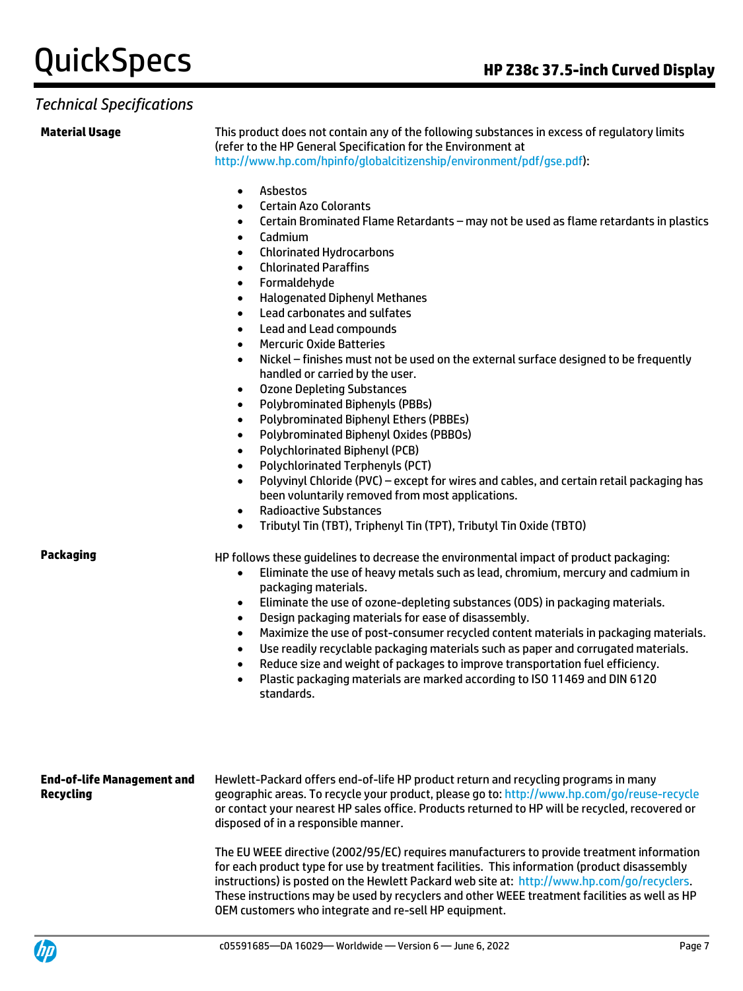#### *Technical Specifications*

**Material Usage** This product does not contain any of the following substances in excess of regulatory limits (refer to the HP General Specification for the Environment at [http://www.hp.com/hpinfo/globalcitizenship/environment/pdf/gse.pdf\)](http://www.hp.com/hpinfo/globalcitizenship/environment/pdf/gse.pdf):

- Asbestos
- Certain Azo Colorants
- Certain Brominated Flame Retardants may not be used as flame retardants in plastics
- Cadmium
- Chlorinated Hydrocarbons
- Chlorinated Paraffins
- Formaldehyde
- Halogenated Diphenyl Methanes
- Lead carbonates and sulfates
- Lead and Lead compounds
- Mercuric Oxide Batteries
- Nickel finishes must not be used on the external surface designed to be frequently handled or carried by the user.
- Ozone Depleting Substances
- Polybrominated Biphenyls (PBBs)
- Polybrominated Biphenyl Ethers (PBBEs)
- Polybrominated Biphenyl Oxides (PBBOs)
- Polychlorinated Biphenyl (PCB)
- Polychlorinated Terphenyls (PCT)
- Polyvinyl Chloride (PVC) except for wires and cables, and certain retail packaging has been voluntarily removed from most applications.
- Radioactive Substances
- Tributyl Tin (TBT), Triphenyl Tin (TPT), Tributyl Tin Oxide (TBTO)

**Packaging HP follows these guidelines to decrease the environmental impact of product packaging:** 

- Eliminate the use of heavy metals such as lead, chromium, mercury and cadmium in packaging materials.
- Eliminate the use of ozone-depleting substances (ODS) in packaging materials.
- Design packaging materials for ease of disassembly.
- Maximize the use of post-consumer recycled content materials in packaging materials.
- Use readily recyclable packaging materials such as paper and corrugated materials.
- Reduce size and weight of packages to improve transportation fuel efficiency.
- Plastic packaging materials are marked according to ISO 11469 and DIN 6120 standards.

#### **End-of-life Management and Recycling**

Hewlett-Packard offers end-of-life HP product return and recycling programs in many geographic areas. To recycle your product, please go to[: http://www.hp.com/go/reuse-recycle](http://www.hp.com/go/reuse-recycle) or contact your nearest HP sales office. Products returned to HP will be recycled, recovered or disposed of in a responsible manner.

The EU WEEE directive (2002/95/EC) requires manufacturers to provide treatment information for each product type for use by treatment facilities. This information (product disassembly instructions) is posted on the Hewlett Packard web site at: [http://www.hp.com/go/recyclers.](http://www.hp.com/go/recyclers) These instructions may be used by recyclers and other WEEE treatment facilities as well as HP OEM customers who integrate and re-sell HP equipment.

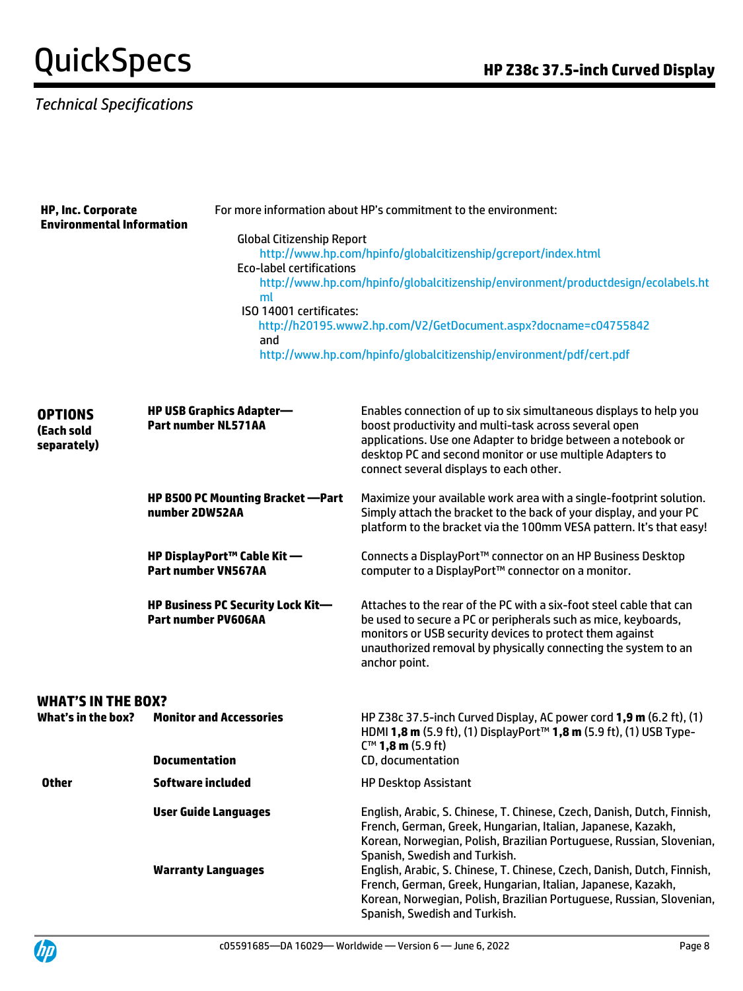### *Technical Specifications*

| <b>HP, Inc. Corporate</b><br><b>Environmental Information</b> |                                                                                                             | For more information about HP's commitment to the environment:                                                                                                                                                                                                                                      |  |  |
|---------------------------------------------------------------|-------------------------------------------------------------------------------------------------------------|-----------------------------------------------------------------------------------------------------------------------------------------------------------------------------------------------------------------------------------------------------------------------------------------------------|--|--|
|                                                               | <b>Global Citizenship Report</b><br><b>Eco-label certifications</b><br>ml<br>ISO 14001 certificates:<br>and | http://www.hp.com/hpinfo/globalcitizenship/gcreport/index.html<br>http://www.hp.com/hpinfo/globalcitizenship/environment/productdesign/ecolabels.ht<br>http://h20195.www2.hp.com/V2/GetDocument.aspx?docname=c04755842<br>http://www.hp.com/hpinfo/globalcitizenship/environment/pdf/cert.pdf       |  |  |
| <b>OPTIONS</b><br>(Each sold<br>separately)                   | <b>HP USB Graphics Adapter-</b><br><b>Part number NL571AA</b>                                               | Enables connection of up to six simultaneous displays to help you<br>boost productivity and multi-task across several open<br>applications. Use one Adapter to bridge between a notebook or<br>desktop PC and second monitor or use multiple Adapters to<br>connect several displays to each other. |  |  |
|                                                               | <b>HP B500 PC Mounting Bracket -Part</b><br>number 2DW52AA                                                  | Maximize your available work area with a single-footprint solution.<br>Simply attach the bracket to the back of your display, and your PC<br>platform to the bracket via the 100mm VESA pattern. It's that easy!                                                                                    |  |  |
|                                                               | HP DisplayPort™ Cable Kit —<br><b>Part number VN567AA</b>                                                   | Connects a DisplayPort™ connector on an HP Business Desktop<br>computer to a DisplayPort™ connector on a monitor.                                                                                                                                                                                   |  |  |
|                                                               | <b>HP Business PC Security Lock Kit-</b><br><b>Part number PV606AA</b>                                      | Attaches to the rear of the PC with a six-foot steel cable that can<br>be used to secure a PC or peripherals such as mice, keyboards,<br>monitors or USB security devices to protect them against<br>unauthorized removal by physically connecting the system to an<br>anchor point.                |  |  |
| <b>WHAT'S IN THE BOX?</b>                                     |                                                                                                             |                                                                                                                                                                                                                                                                                                     |  |  |
| What's in the box?                                            | <b>Monitor and Accessories</b>                                                                              | HP Z38c 37.5-inch Curved Display, AC power cord 1,9 m (6.2 ft), (1)<br>HDMI 1,8 m (5.9 ft), (1) DisplayPort™ 1,8 m (5.9 ft), (1) USB Type-<br>C <sup>™</sup> 1,8 m (5.9 ft)                                                                                                                         |  |  |
|                                                               | <b>Documentation</b>                                                                                        | CD, documentation                                                                                                                                                                                                                                                                                   |  |  |
| <b>Other</b>                                                  | <b>Software included</b>                                                                                    | <b>HP Desktop Assistant</b>                                                                                                                                                                                                                                                                         |  |  |
|                                                               | <b>User Guide Languages</b>                                                                                 | English, Arabic, S. Chinese, T. Chinese, Czech, Danish, Dutch, Finnish,<br>French, German, Greek, Hungarian, Italian, Japanese, Kazakh,<br>Korean, Norwegian, Polish, Brazilian Portuguese, Russian, Slovenian,<br>Spanish, Swedish and Turkish.                                                    |  |  |
|                                                               | <b>Warranty Languages</b>                                                                                   | English, Arabic, S. Chinese, T. Chinese, Czech, Danish, Dutch, Finnish,<br>French, German, Greek, Hungarian, Italian, Japanese, Kazakh,<br>Korean, Norwegian, Polish, Brazilian Portuguese, Russian, Slovenian,<br>Spanish, Swedish and Turkish.                                                    |  |  |

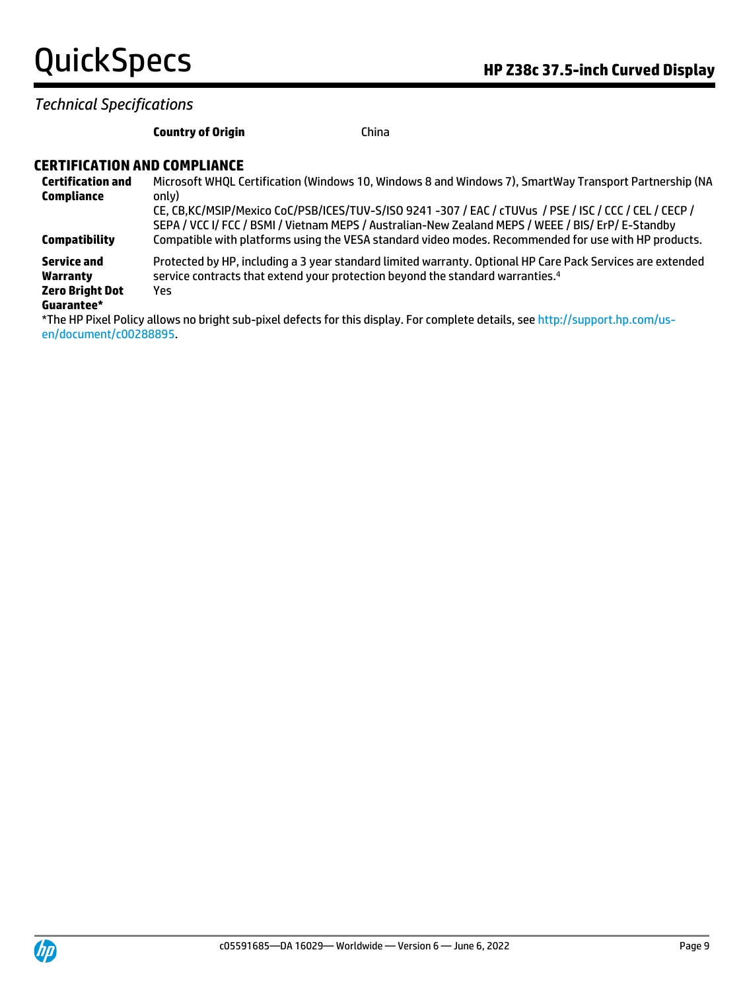*Technical Specifications*

#### **Country of Origin** China

#### **CERTIFICATION AND COMPLIANCE**

| <b>Certification and</b> | Microsoft WHQL Certification (Windows 10, Windows 8 and Windows 7), SmartWay Transport Partnership (NA                                                                                                        |
|--------------------------|---------------------------------------------------------------------------------------------------------------------------------------------------------------------------------------------------------------|
| Compliance               | only)                                                                                                                                                                                                         |
|                          | CE, CB, KC/MSIP/Mexico CoC/PSB/ICES/TUV-S/ISO 9241 -307 / EAC / cTUVus / PSE / ISC / CCC / CEL / CECP /<br>SEPA / VCC I/ FCC / BSMI / Vietnam MEPS / Australian-New Zealand MEPS / WEEE / BIS/ ErP/ E-Standby |
| <b>Compatibility</b>     | Compatible with platforms using the VESA standard video modes. Recommended for use with HP products.                                                                                                          |
| Service and              | Protected by HP, including a 3 year standard limited warranty. Optional HP Care Pack Services are extended                                                                                                    |
| Warranty                 | service contracts that extend your protection beyond the standard warranties. <sup>4</sup>                                                                                                                    |
| <b>Zero Bright Dot</b>   | Yes                                                                                                                                                                                                           |
| Guarantee*               |                                                                                                                                                                                                               |
|                          | *The HP Pixel Policy allows no bright sub-pixel defects for this display. For complete details, see http://support.hp.com/us-                                                                                 |
| en/document/c00288895.   |                                                                                                                                                                                                               |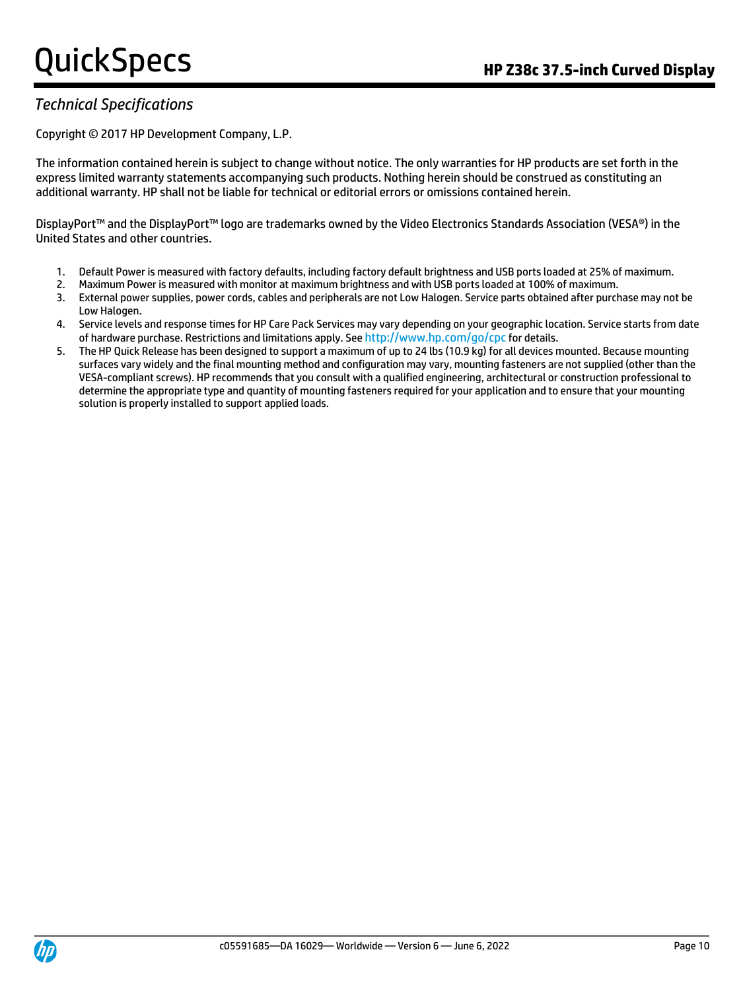### *Technical Specifications*

Copyright © 2017 HP Development Company, L.P.

The information contained herein is subject to change without notice. The only warranties for HP products are set forth in the express limited warranty statements accompanying such products. Nothing herein should be construed as constituting an additional warranty. HP shall not be liable for technical or editorial errors or omissions contained herein.

DisplayPort™ and the DisplayPort™ logo are trademarks owned by the Video Electronics Standards Association (VESA®) in the United States and other countries.

- 1. Default Power is measured with factory defaults, including factory default brightness and USB ports loaded at 25% of maximum.
- 2. Maximum Power is measured with monitor at maximum brightness and with USB ports loaded at 100% of maximum.
- 3. External power supplies, power cords, cables and peripherals are not Low Halogen. Service parts obtained after purchase may not be Low Halogen.
- 4. Service levels and response times for HP Care Pack Services may vary depending on your geographic location. Service starts from date of hardware purchase. Restrictions and limitations apply. See http://www.hp.com/go/cpc for details.
- 5. The HP Quick Release has been designed to support a maximum of up to 24 lbs (10.9 kg) for all devices mounted. Because mounting surfaces vary widely and the final mounting method and configuration may vary, mounting fasteners are not supplied (other than the VESA-compliant screws). HP recommends that you consult with a qualified engineering, architectural or construction professional to determine the appropriate type and quantity of mounting fasteners required for your application and to ensure that your mounting solution is properly installed to support applied loads.